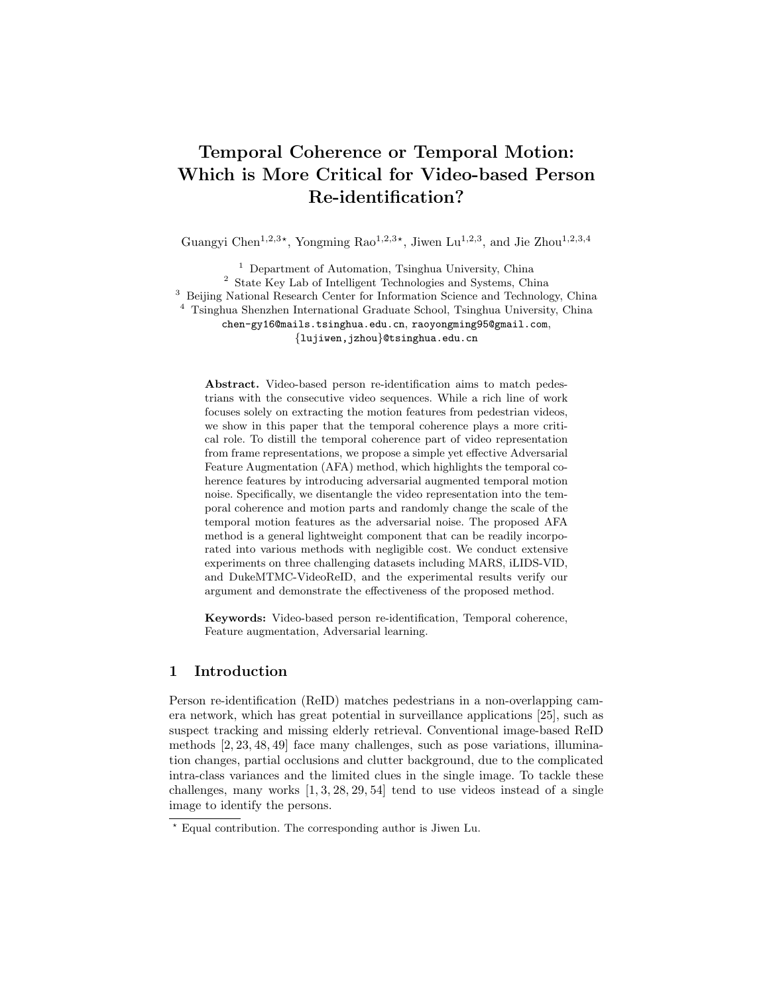# Temporal Coherence or Temporal Motion: Which is More Critical for Video-based Person Re-identification?

Guangyi Chen<sup>1,2,3\*</sup>, Yongming Rao<sup>1,2,3\*</sup>, Jiwen Lu<sup>1,2,3</sup>, and Jie Zhou<sup>1,2,3,4</sup>

 $^{\rm 1}$  Department of Automation, Tsinghua University, China <sup>2</sup> State Key Lab of Intelligent Technologies and Systems, China <sup>3</sup> Beijing National Research Center for Information Science and Technology, China <sup>4</sup> Tsinghua Shenzhen International Graduate School, Tsinghua University, China chen-gy16@mails.tsinghua.edu.cn, raoyongming95@gmail.com,

{lujiwen,jzhou}@tsinghua.edu.cn

Abstract. Video-based person re-identification aims to match pedestrians with the consecutive video sequences. While a rich line of work focuses solely on extracting the motion features from pedestrian videos, we show in this paper that the temporal coherence plays a more critical role. To distill the temporal coherence part of video representation from frame representations, we propose a simple yet effective Adversarial Feature Augmentation (AFA) method, which highlights the temporal coherence features by introducing adversarial augmented temporal motion noise. Specifically, we disentangle the video representation into the temporal coherence and motion parts and randomly change the scale of the temporal motion features as the adversarial noise. The proposed AFA method is a general lightweight component that can be readily incorporated into various methods with negligible cost. We conduct extensive experiments on three challenging datasets including MARS, iLIDS-VID, and DukeMTMC-VideoReID, and the experimental results verify our argument and demonstrate the effectiveness of the proposed method.

Keywords: Video-based person re-identification, Temporal coherence, Feature augmentation, Adversarial learning.

# 1 Introduction

Person re-identification (ReID) matches pedestrians in a non-overlapping camera network, which has great potential in surveillance applications [25], such as suspect tracking and missing elderly retrieval. Conventional image-based ReID methods [2, 23, 48, 49] face many challenges, such as pose variations, illumination changes, partial occlusions and clutter background, due to the complicated intra-class variances and the limited clues in the single image. To tackle these challenges, many works [1, 3, 28, 29, 54] tend to use videos instead of a single image to identify the persons.

 $*$  Equal contribution. The corresponding author is Jiwen Lu.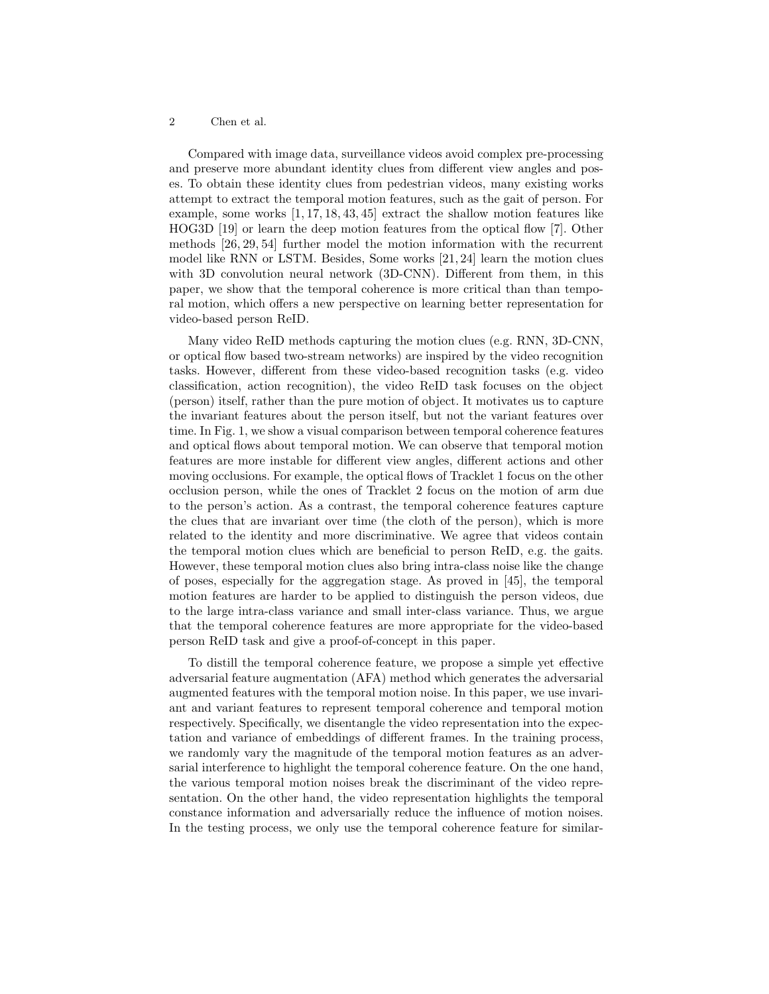Compared with image data, surveillance videos avoid complex pre-processing and preserve more abundant identity clues from different view angles and poses. To obtain these identity clues from pedestrian videos, many existing works attempt to extract the temporal motion features, such as the gait of person. For example, some works [1, 17, 18, 43, 45] extract the shallow motion features like HOG3D [19] or learn the deep motion features from the optical flow [7]. Other methods [26, 29, 54] further model the motion information with the recurrent model like RNN or LSTM. Besides, Some works [21, 24] learn the motion clues with 3D convolution neural network (3D-CNN). Different from them, in this paper, we show that the temporal coherence is more critical than than temporal motion, which offers a new perspective on learning better representation for video-based person ReID.

Many video ReID methods capturing the motion clues (e.g. RNN, 3D-CNN, or optical flow based two-stream networks) are inspired by the video recognition tasks. However, different from these video-based recognition tasks (e.g. video classification, action recognition), the video ReID task focuses on the object (person) itself, rather than the pure motion of object. It motivates us to capture the invariant features about the person itself, but not the variant features over time. In Fig. 1, we show a visual comparison between temporal coherence features and optical flows about temporal motion. We can observe that temporal motion features are more instable for different view angles, different actions and other moving occlusions. For example, the optical flows of Tracklet 1 focus on the other occlusion person, while the ones of Tracklet 2 focus on the motion of arm due to the person's action. As a contrast, the temporal coherence features capture the clues that are invariant over time (the cloth of the person), which is more related to the identity and more discriminative. We agree that videos contain the temporal motion clues which are beneficial to person ReID, e.g. the gaits. However, these temporal motion clues also bring intra-class noise like the change of poses, especially for the aggregation stage. As proved in [45], the temporal motion features are harder to be applied to distinguish the person videos, due to the large intra-class variance and small inter-class variance. Thus, we argue that the temporal coherence features are more appropriate for the video-based person ReID task and give a proof-of-concept in this paper.

To distill the temporal coherence feature, we propose a simple yet effective adversarial feature augmentation (AFA) method which generates the adversarial augmented features with the temporal motion noise. In this paper, we use invariant and variant features to represent temporal coherence and temporal motion respectively. Specifically, we disentangle the video representation into the expectation and variance of embeddings of different frames. In the training process, we randomly vary the magnitude of the temporal motion features as an adversarial interference to highlight the temporal coherence feature. On the one hand, the various temporal motion noises break the discriminant of the video representation. On the other hand, the video representation highlights the temporal constance information and adversarially reduce the influence of motion noises. In the testing process, we only use the temporal coherence feature for similar-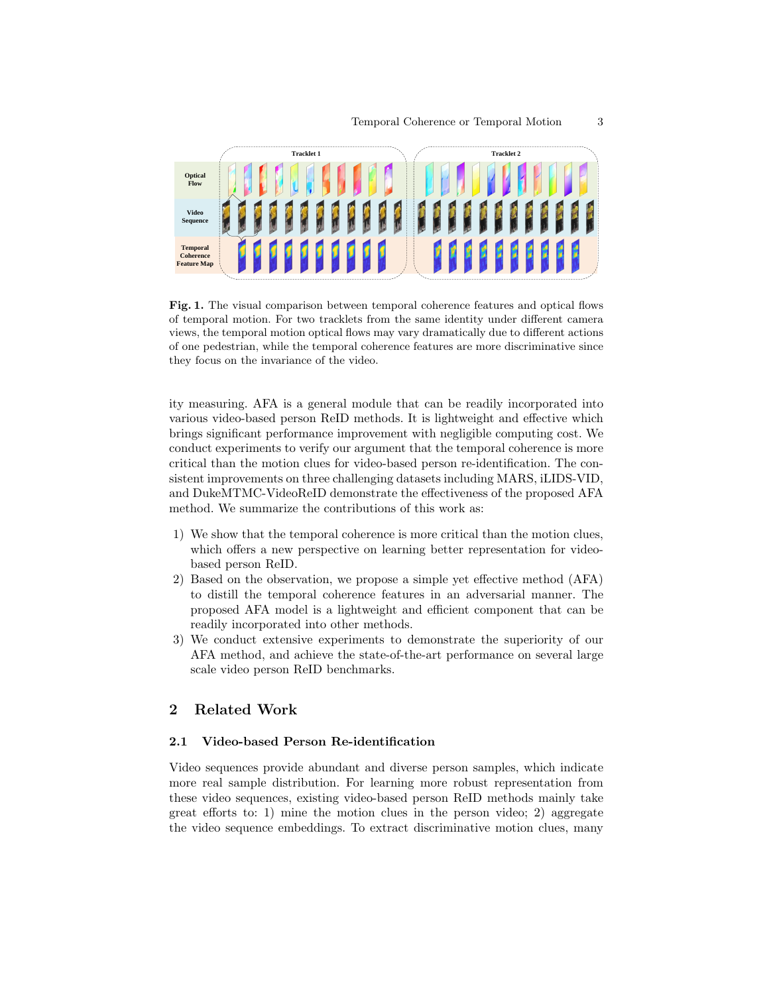

Fig. 1. The visual comparison between temporal coherence features and optical flows of temporal motion. For two tracklets from the same identity under different camera views, the temporal motion optical flows may vary dramatically due to different actions of one pedestrian, while the temporal coherence features are more discriminative since they focus on the invariance of the video.

ity measuring. AFA is a general module that can be readily incorporated into various video-based person ReID methods. It is lightweight and effective which brings significant performance improvement with negligible computing cost. We conduct experiments to verify our argument that the temporal coherence is more critical than the motion clues for video-based person re-identification. The consistent improvements on three challenging datasets including MARS, iLIDS-VID, and DukeMTMC-VideoReID demonstrate the effectiveness of the proposed AFA method. We summarize the contributions of this work as:

- 1) We show that the temporal coherence is more critical than the motion clues, which offers a new perspective on learning better representation for videobased person ReID.
- 2) Based on the observation, we propose a simple yet effective method (AFA) to distill the temporal coherence features in an adversarial manner. The proposed AFA model is a lightweight and efficient component that can be readily incorporated into other methods.
- 3) We conduct extensive experiments to demonstrate the superiority of our AFA method, and achieve the state-of-the-art performance on several large scale video person ReID benchmarks.

# 2 Related Work

#### 2.1 Video-based Person Re-identification

Video sequences provide abundant and diverse person samples, which indicate more real sample distribution. For learning more robust representation from these video sequences, existing video-based person ReID methods mainly take great efforts to: 1) mine the motion clues in the person video; 2) aggregate the video sequence embeddings. To extract discriminative motion clues, many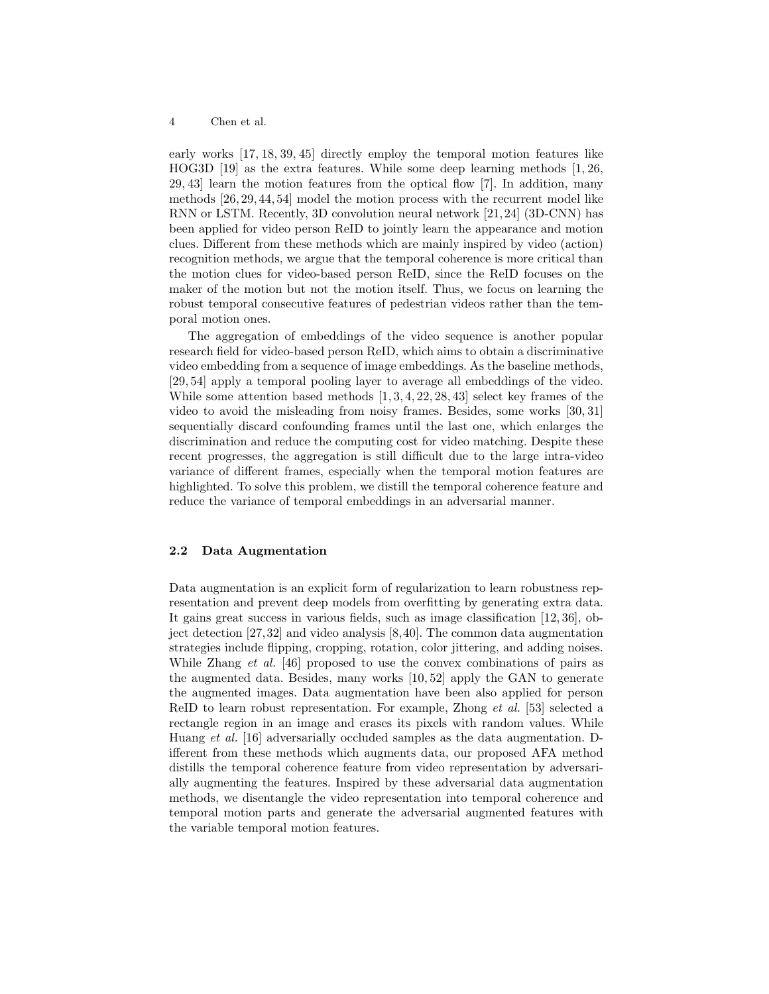early works [17, 18, 39, 45] directly employ the temporal motion features like HOG3D [19] as the extra features. While some deep learning methods [1, 26, 29, 43] learn the motion features from the optical flow [7]. In addition, many methods [26, 29, 44, 54] model the motion process with the recurrent model like RNN or LSTM. Recently, 3D convolution neural network [21, 24] (3D-CNN) has been applied for video person ReID to jointly learn the appearance and motion clues. Different from these methods which are mainly inspired by video (action) recognition methods, we argue that the temporal coherence is more critical than the motion clues for video-based person ReID, since the ReID focuses on the maker of the motion but not the motion itself. Thus, we focus on learning the robust temporal consecutive features of pedestrian videos rather than the temporal motion ones.

The aggregation of embeddings of the video sequence is another popular research field for video-based person ReID, which aims to obtain a discriminative video embedding from a sequence of image embeddings. As the baseline methods, [29, 54] apply a temporal pooling layer to average all embeddings of the video. While some attention based methods  $[1, 3, 4, 22, 28, 43]$  select key frames of the video to avoid the misleading from noisy frames. Besides, some works [30, 31] sequentially discard confounding frames until the last one, which enlarges the discrimination and reduce the computing cost for video matching. Despite these recent progresses, the aggregation is still difficult due to the large intra-video variance of different frames, especially when the temporal motion features are highlighted. To solve this problem, we distill the temporal coherence feature and reduce the variance of temporal embeddings in an adversarial manner.

## 2.2 Data Augmentation

Data augmentation is an explicit form of regularization to learn robustness representation and prevent deep models from overfitting by generating extra data. It gains great success in various fields, such as image classification [12, 36], object detection [27,32] and video analysis [8,40]. The common data augmentation strategies include flipping, cropping, rotation, color jittering, and adding noises. While Zhang *et al.* [46] proposed to use the convex combinations of pairs as the augmented data. Besides, many works [10, 52] apply the GAN to generate the augmented images. Data augmentation have been also applied for person ReID to learn robust representation. For example, Zhong et al. [53] selected a rectangle region in an image and erases its pixels with random values. While Huang et al. [16] adversarially occluded samples as the data augmentation. Different from these methods which augments data, our proposed AFA method distills the temporal coherence feature from video representation by adversarially augmenting the features. Inspired by these adversarial data augmentation methods, we disentangle the video representation into temporal coherence and temporal motion parts and generate the adversarial augmented features with the variable temporal motion features.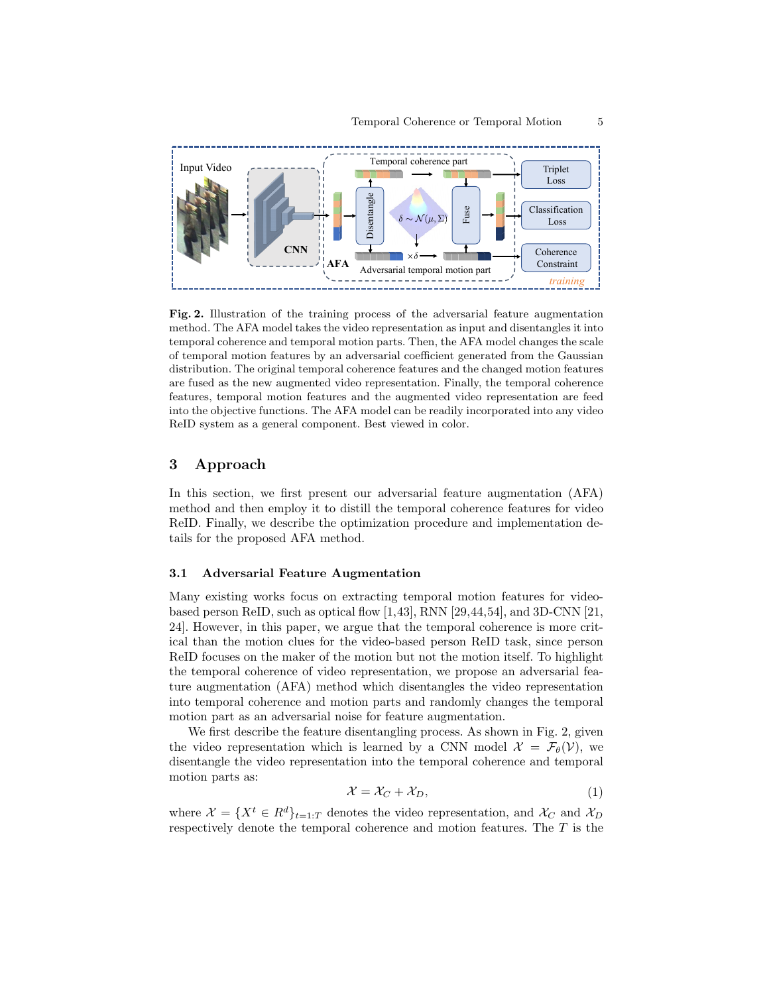

Fig. 2. Illustration of the training process of the adversarial feature augmentation method. The AFA model takes the video representation as input and disentangles it into temporal coherence and temporal motion parts. Then, the AFA model changes the scale of temporal motion features by an adversarial coefficient generated from the Gaussian distribution. The original temporal coherence features and the changed motion features are fused as the new augmented video representation. Finally, the temporal coherence features, temporal motion features and the augmented video representation are feed into the objective functions. The AFA model can be readily incorporated into any video ReID system as a general component. Best viewed in color.

# 3 Approach

In this section, we first present our adversarial feature augmentation (AFA) method and then employ it to distill the temporal coherence features for video ReID. Finally, we describe the optimization procedure and implementation details for the proposed AFA method.

## 3.1 Adversarial Feature Augmentation

Many existing works focus on extracting temporal motion features for videobased person ReID, such as optical flow  $[1,43]$ , RNN  $[29,44,54]$ , and 3D-CNN  $[21,$ 24]. However, in this paper, we argue that the temporal coherence is more critical than the motion clues for the video-based person ReID task, since person ReID focuses on the maker of the motion but not the motion itself. To highlight the temporal coherence of video representation, we propose an adversarial feature augmentation (AFA) method which disentangles the video representation into temporal coherence and motion parts and randomly changes the temporal motion part as an adversarial noise for feature augmentation.

We first describe the feature disentangling process. As shown in Fig. 2, given the video representation which is learned by a CNN model  $\mathcal{X} = \mathcal{F}_{\theta}(\mathcal{V})$ , we disentangle the video representation into the temporal coherence and temporal motion parts as:

$$
\mathcal{X} = \mathcal{X}_C + \mathcal{X}_D,\tag{1}
$$

where  $\mathcal{X} = \{X^t \in R^d\}_{t=1:T}$  denotes the video representation, and  $\mathcal{X}_C$  and  $\mathcal{X}_D$ respectively denote the temporal coherence and motion features. The T is the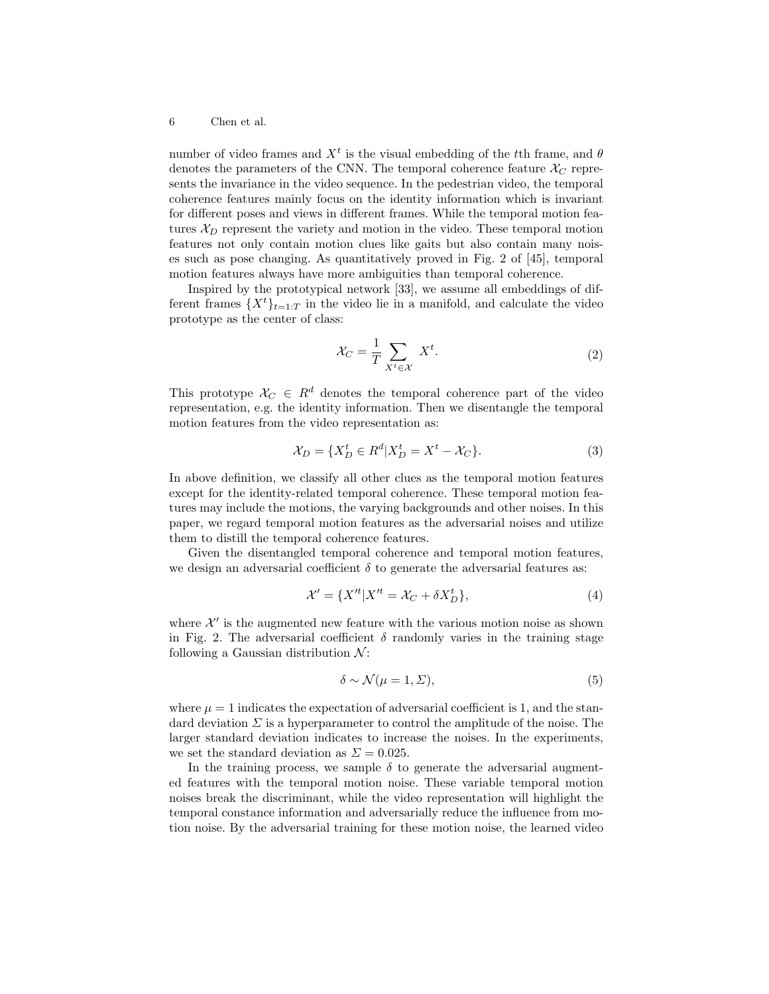number of video frames and  $X<sup>t</sup>$  is the visual embedding of the tth frame, and  $\theta$ denotes the parameters of the CNN. The temporal coherence feature  $\mathcal{X}_C$  represents the invariance in the video sequence. In the pedestrian video, the temporal coherence features mainly focus on the identity information which is invariant for different poses and views in different frames. While the temporal motion features  $\mathcal{X}_D$  represent the variety and motion in the video. These temporal motion features not only contain motion clues like gaits but also contain many noises such as pose changing. As quantitatively proved in Fig. 2 of [45], temporal motion features always have more ambiguities than temporal coherence.

Inspired by the prototypical network [33], we assume all embeddings of different frames  $\{X^t\}_{t=1:T}$  in the video lie in a manifold, and calculate the video prototype as the center of class:

$$
\mathcal{X}_C = \frac{1}{T} \sum_{X^t \in \mathcal{X}} X^t. \tag{2}
$$

This prototype  $\mathcal{X}_C \in \mathbb{R}^d$  denotes the temporal coherence part of the video representation, e.g. the identity information. Then we disentangle the temporal motion features from the video representation as:

$$
\mathcal{X}_D = \{ X_D^t \in R^d | X_D^t = X^t - \mathcal{X}_C \}. \tag{3}
$$

In above definition, we classify all other clues as the temporal motion features except for the identity-related temporal coherence. These temporal motion features may include the motions, the varying backgrounds and other noises. In this paper, we regard temporal motion features as the adversarial noises and utilize them to distill the temporal coherence features.

Given the disentangled temporal coherence and temporal motion features, we design an adversarial coefficient  $\delta$  to generate the adversarial features as:

$$
\mathcal{X}' = \{X'^t | X'^t = \mathcal{X}_C + \delta X_D^t\},\tag{4}
$$

where  $\mathcal{X}'$  is the augmented new feature with the various motion noise as shown in Fig. 2. The adversarial coefficient  $\delta$  randomly varies in the training stage following a Gaussian distribution  $\mathcal{N}$ :

$$
\delta \sim \mathcal{N}(\mu = 1, \Sigma),\tag{5}
$$

where  $\mu = 1$  indicates the expectation of adversarial coefficient is 1, and the standard deviation  $\Sigma$  is a hyperparameter to control the amplitude of the noise. The larger standard deviation indicates to increase the noises. In the experiments, we set the standard deviation as  $\Sigma = 0.025$ .

In the training process, we sample  $\delta$  to generate the adversarial augmented features with the temporal motion noise. These variable temporal motion noises break the discriminant, while the video representation will highlight the temporal constance information and adversarially reduce the influence from motion noise. By the adversarial training for these motion noise, the learned video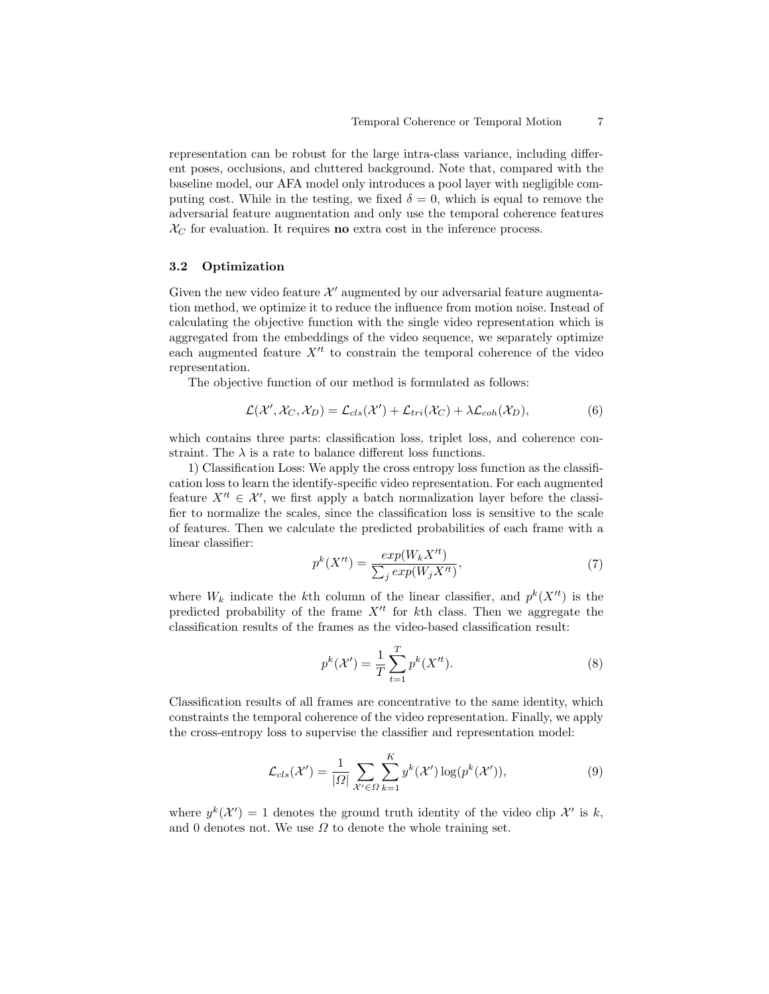representation can be robust for the large intra-class variance, including different poses, occlusions, and cluttered background. Note that, compared with the baseline model, our AFA model only introduces a pool layer with negligible computing cost. While in the testing, we fixed  $\delta = 0$ , which is equal to remove the adversarial feature augmentation and only use the temporal coherence features  $\mathcal{X}_C$  for evaluation. It requires **no** extra cost in the inference process.

## 3.2 Optimization

Given the new video feature  $\mathcal{X}'$  augmented by our adversarial feature augmentation method, we optimize it to reduce the influence from motion noise. Instead of calculating the objective function with the single video representation which is aggregated from the embeddings of the video sequence, we separately optimize each augmented feature  $X<sup>tt</sup>$  to constrain the temporal coherence of the video representation.

The objective function of our method is formulated as follows:

$$
\mathcal{L}(\mathcal{X}', \mathcal{X}_C, \mathcal{X}_D) = \mathcal{L}_{cls}(\mathcal{X}') + \mathcal{L}_{tri}(\mathcal{X}_C) + \lambda \mathcal{L}_{coh}(\mathcal{X}_D),
$$
\n(6)

which contains three parts: classification loss, triplet loss, and coherence constraint. The  $\lambda$  is a rate to balance different loss functions.

1) Classification Loss: We apply the cross entropy loss function as the classification loss to learn the identify-specific video representation. For each augmented feature  $X'^t \in \mathcal{X}'$ , we first apply a batch normalization layer before the classifier to normalize the scales, since the classification loss is sensitive to the scale of features. Then we calculate the predicted probabilities of each frame with a linear classifier:

$$
p^{k}(X'^{t}) = \frac{exp(W_{k}X'^{t})}{\sum_{j} exp(W_{j}X'^{t})},
$$
\n(7)

where  $W_k$  indicate the kth column of the linear classifier, and  $p^k(X^{\prime t})$  is the predicted probability of the frame  $X<sup>tt</sup>$  for kth class. Then we aggregate the classification results of the frames as the video-based classification result:

$$
p^{k}(\mathcal{X}') = \frac{1}{T} \sum_{t=1}^{T} p^{k}(X'^{t}).
$$
\n(8)

Classification results of all frames are concentrative to the same identity, which constraints the temporal coherence of the video representation. Finally, we apply the cross-entropy loss to supervise the classifier and representation model:

$$
\mathcal{L}_{cls}(\mathcal{X}') = \frac{1}{|\Omega|} \sum_{\mathcal{X}' \in \Omega} \sum_{k=1}^{K} y^k(\mathcal{X}') \log(p^k(\mathcal{X}')), \tag{9}
$$

where  $y^k(\mathcal{X}') = 1$  denotes the ground truth identity of the video clip  $\mathcal{X}'$  is k, and 0 denotes not. We use  $\Omega$  to denote the whole training set.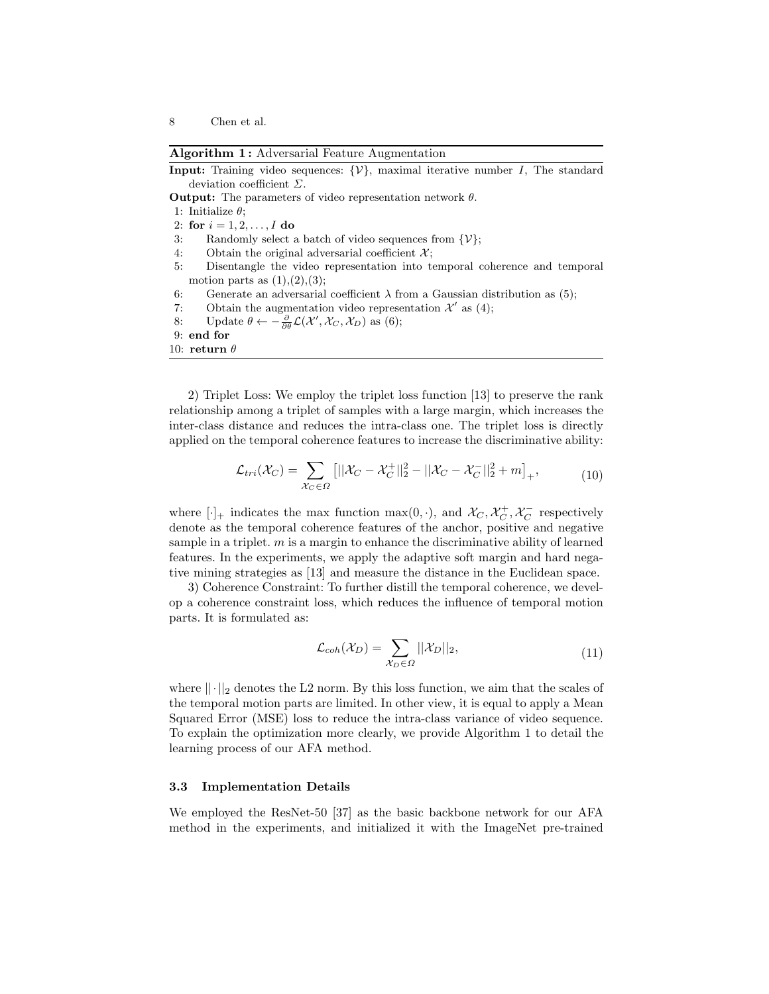Algorithm 1: Adversarial Feature Augmentation

- **Input:** Training video sequences:  $\{V\}$ , maximal iterative number I, The standard deviation coefficient Σ.
- **Output:** The parameters of video representation network  $\theta$ .
- 1: Initialize  $\theta$ ;
- 2: for  $i = 1, 2, ..., I$  do
- 3: Randomly select a batch of video sequences from  $\{\mathcal{V}\};$
- 4: Obtain the original adversarial coefficient  $\mathcal{X}$ ;
- 5: Disentangle the video representation into temporal coherence and temporal motion parts as  $(1), (2), (3)$ ;
- 6: Generate an adversarial coefficient  $\lambda$  from a Gaussian distribution as (5);
- 7: Obtain the augmentation video representation  $\mathcal{X}'$  as (4);
- 8: Update  $\theta \leftarrow -\frac{\partial}{\partial \theta} \mathcal{L}(\mathcal{X}', \mathcal{X}_C, \mathcal{X}_D)$  as (6);
- 9: end for
- 10: return  $\theta$

2) Triplet Loss: We employ the triplet loss function [13] to preserve the rank relationship among a triplet of samples with a large margin, which increases the inter-class distance and reduces the intra-class one. The triplet loss is directly applied on the temporal coherence features to increase the discriminative ability:

$$
\mathcal{L}_{tri}(\mathcal{X}_C) = \sum_{\mathcal{X}_C \in \Omega} \left[ ||\mathcal{X}_C - \mathcal{X}_C^+||_2^2 - ||\mathcal{X}_C - \mathcal{X}_C^-||_2^2 + m \right]_+, \tag{10}
$$

where  $[\cdot]_+$  indicates the max function  $\max(0, \cdot)$ , and  $\mathcal{X}_C, \mathcal{X}_C^+, \mathcal{X}_C^-$  respectively denote as the temporal coherence features of the anchor, positive and negative sample in a triplet.  $m$  is a margin to enhance the discriminative ability of learned features. In the experiments, we apply the adaptive soft margin and hard negative mining strategies as [13] and measure the distance in the Euclidean space.

3) Coherence Constraint: To further distill the temporal coherence, we develop a coherence constraint loss, which reduces the influence of temporal motion parts. It is formulated as:

$$
\mathcal{L}_{coh}(\mathcal{X}_D) = \sum_{\mathcal{X}_D \in \Omega} ||\mathcal{X}_D||_2,
$$
\n(11)

where  $||\cdot||_2$  denotes the L2 norm. By this loss function, we aim that the scales of the temporal motion parts are limited. In other view, it is equal to apply a Mean Squared Error (MSE) loss to reduce the intra-class variance of video sequence. To explain the optimization more clearly, we provide Algorithm 1 to detail the learning process of our AFA method.

# 3.3 Implementation Details

We employed the ResNet-50 [37] as the basic backbone network for our AFA method in the experiments, and initialized it with the ImageNet pre-trained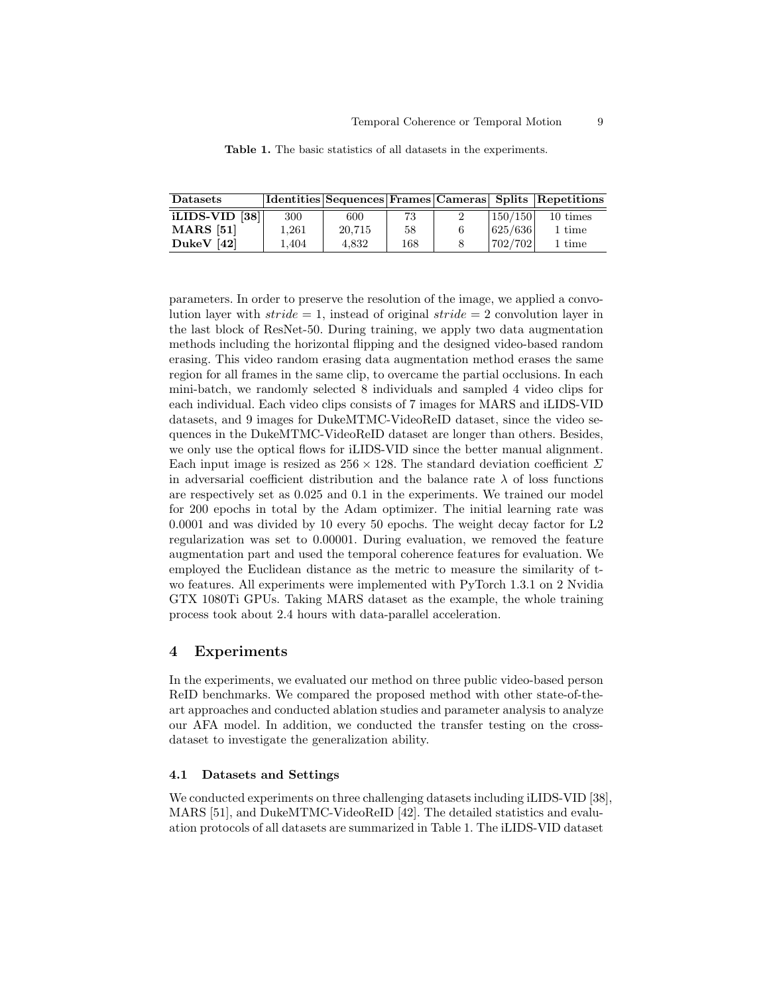| <b>Datasets</b>             |           |        |     |          | Identities Sequences Frames Cameras Splits Repetitions |  |
|-----------------------------|-----------|--------|-----|----------|--------------------------------------------------------|--|
| iLIDS-VID $\left 38\right $ | 300       | 600    | 73  | 150/150  | 10 times                                               |  |
| <b>MARS</b> [51]            | $1.261\,$ | 20.715 | 58  | 625/636  | 1 time                                                 |  |
| DukeV $[42]$                | 1.404     | 4.832  | 168 | 1702/702 | 1 time                                                 |  |

Table 1. The basic statistics of all datasets in the experiments.

parameters. In order to preserve the resolution of the image, we applied a convolution layer with  $\text{stride} = 1$ , instead of original  $\text{stride} = 2$  convolution layer in the last block of ResNet-50. During training, we apply two data augmentation methods including the horizontal flipping and the designed video-based random erasing. This video random erasing data augmentation method erases the same region for all frames in the same clip, to overcame the partial occlusions. In each mini-batch, we randomly selected 8 individuals and sampled 4 video clips for each individual. Each video clips consists of 7 images for MARS and iLIDS-VID datasets, and 9 images for DukeMTMC-VideoReID dataset, since the video sequences in the DukeMTMC-VideoReID dataset are longer than others. Besides, we only use the optical flows for iLIDS-VID since the better manual alignment. Each input image is resized as  $256 \times 128$ . The standard deviation coefficient  $\Sigma$ in adversarial coefficient distribution and the balance rate  $\lambda$  of loss functions are respectively set as 0.025 and 0.1 in the experiments. We trained our model for 200 epochs in total by the Adam optimizer. The initial learning rate was 0.0001 and was divided by 10 every 50 epochs. The weight decay factor for L2 regularization was set to 0.00001. During evaluation, we removed the feature augmentation part and used the temporal coherence features for evaluation. We employed the Euclidean distance as the metric to measure the similarity of two features. All experiments were implemented with PyTorch 1.3.1 on 2 Nvidia GTX 1080Ti GPUs. Taking MARS dataset as the example, the whole training process took about 2.4 hours with data-parallel acceleration.

### 4 Experiments

In the experiments, we evaluated our method on three public video-based person ReID benchmarks. We compared the proposed method with other state-of-theart approaches and conducted ablation studies and parameter analysis to analyze our AFA model. In addition, we conducted the transfer testing on the crossdataset to investigate the generalization ability.

## 4.1 Datasets and Settings

We conducted experiments on three challenging datasets including iLIDS-VID [38], MARS [51], and DukeMTMC-VideoReID [42]. The detailed statistics and evaluation protocols of all datasets are summarized in Table 1. The iLIDS-VID dataset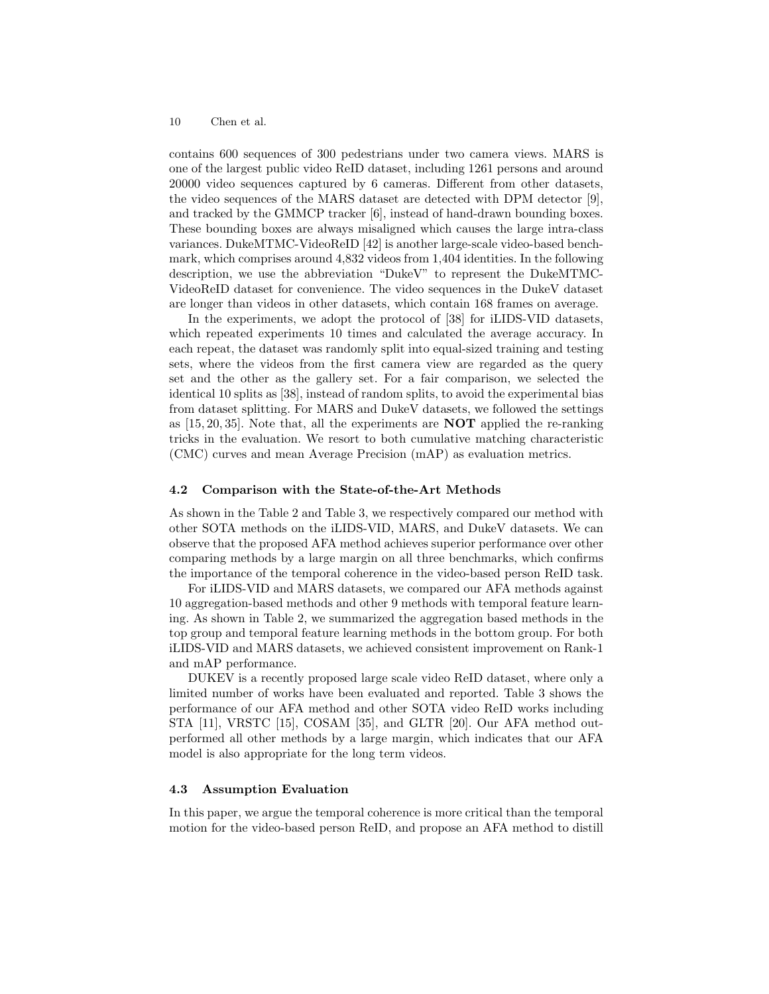contains 600 sequences of 300 pedestrians under two camera views. MARS is one of the largest public video ReID dataset, including 1261 persons and around 20000 video sequences captured by 6 cameras. Different from other datasets, the video sequences of the MARS dataset are detected with DPM detector [9], and tracked by the GMMCP tracker [6], instead of hand-drawn bounding boxes. These bounding boxes are always misaligned which causes the large intra-class variances. DukeMTMC-VideoReID [42] is another large-scale video-based benchmark, which comprises around 4,832 videos from 1,404 identities. In the following description, we use the abbreviation "DukeV" to represent the DukeMTMC-VideoReID dataset for convenience. The video sequences in the DukeV dataset are longer than videos in other datasets, which contain 168 frames on average.

In the experiments, we adopt the protocol of [38] for iLIDS-VID datasets, which repeated experiments 10 times and calculated the average accuracy. In each repeat, the dataset was randomly split into equal-sized training and testing sets, where the videos from the first camera view are regarded as the query set and the other as the gallery set. For a fair comparison, we selected the identical 10 splits as [38], instead of random splits, to avoid the experimental bias from dataset splitting. For MARS and DukeV datasets, we followed the settings as  $[15, 20, 35]$ . Note that, all the experiments are **NOT** applied the re-ranking tricks in the evaluation. We resort to both cumulative matching characteristic (CMC) curves and mean Average Precision (mAP) as evaluation metrics.

## 4.2 Comparison with the State-of-the-Art Methods

As shown in the Table 2 and Table 3, we respectively compared our method with other SOTA methods on the iLIDS-VID, MARS, and DukeV datasets. We can observe that the proposed AFA method achieves superior performance over other comparing methods by a large margin on all three benchmarks, which confirms the importance of the temporal coherence in the video-based person ReID task.

For iLIDS-VID and MARS datasets, we compared our AFA methods against 10 aggregation-based methods and other 9 methods with temporal feature learning. As shown in Table 2, we summarized the aggregation based methods in the top group and temporal feature learning methods in the bottom group. For both iLIDS-VID and MARS datasets, we achieved consistent improvement on Rank-1 and mAP performance.

DUKEV is a recently proposed large scale video ReID dataset, where only a limited number of works have been evaluated and reported. Table 3 shows the performance of our AFA method and other SOTA video ReID works including STA [11], VRSTC [15], COSAM [35], and GLTR [20]. Our AFA method outperformed all other methods by a large margin, which indicates that our AFA model is also appropriate for the long term videos.

# 4.3 Assumption Evaluation

In this paper, we argue the temporal coherence is more critical than the temporal motion for the video-based person ReID, and propose an AFA method to distill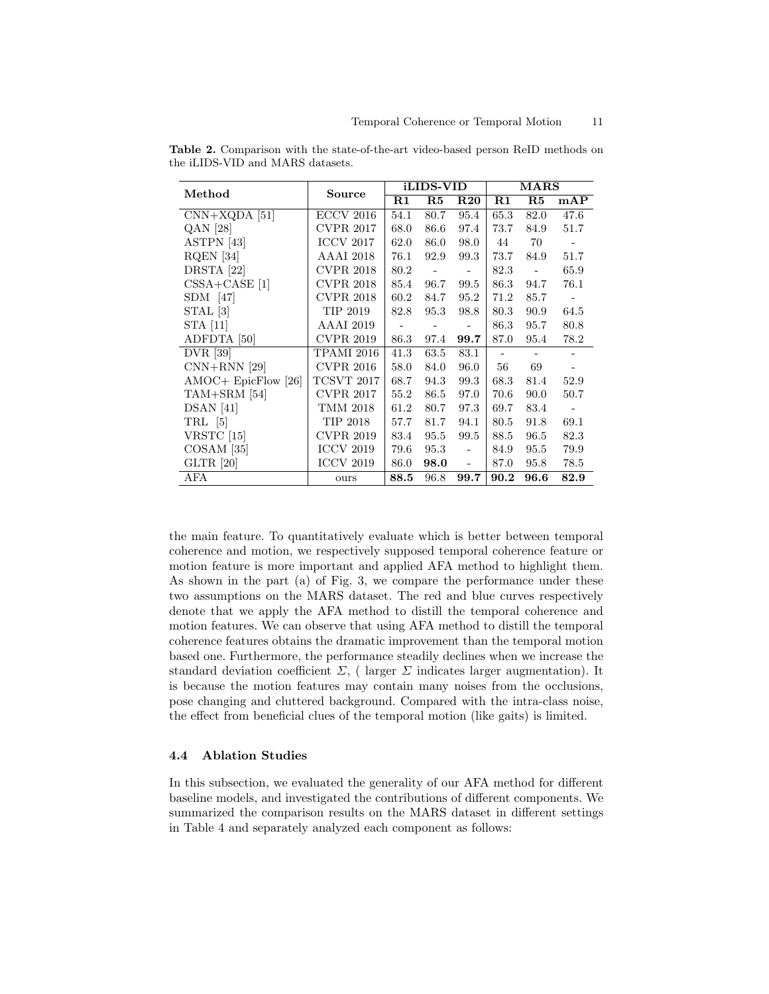| Method                 | Source           |                | iLIDS-VID      |                          | $\rm\,MARS$    |                |                          |
|------------------------|------------------|----------------|----------------|--------------------------|----------------|----------------|--------------------------|
|                        |                  | $\rm R1$       | R5             | $R_{20}$                 | R1             | R5             | mAP                      |
| $CNN+XQDA$ [51]        | <b>ECCV 2016</b> | 54.1           | 80.7           | 95.4                     | 65.3           | 82.0           | 47.6                     |
| QAN [28]               | <b>CVPR 2017</b> | 68.0           | 86.6           | 97.4                     | 73.7           | 84.9           | 51.7                     |
| ASTPN [43]             | <b>ICCV 2017</b> | 62.0           | 86.0           | 98.0                     | 44             | 70             | $\sim$                   |
| RQEN <sup>[34]</sup>   | <b>AAAI</b> 2018 | 76.1           | 92.9           | 99.3                     | 73.7           | 84.9           | 51.7                     |
| DRSTA [22]             | <b>CVPR 2018</b> | 80.2           | $\sim$ $ \sim$ | $\sim$ $-$               | 82.3           | $\sim$ $-$     | 65.9                     |
| $CSSA+CASE$ [1]        | <b>CVPR 2018</b> | 85.4           | 96.7           | 99.5                     | 86.3           | 94.7           | 76.1                     |
| SDM [47]               | <b>CVPR 2018</b> | 60.2           | 84.7           | 95.2                     | 71.2           | 85.7           |                          |
| STAL [3]               | TIP 2019         | 82.8           | 95.3           | 98.8                     | 80.3           | 90.9           | 64.5                     |
| STA [11]               | AAAI 2019        | $\sim 10^{-1}$ | $\sim$ $ \sim$ | $\sim$ $-$               | 86.3           | 95.7           | 80.8                     |
| ADFDTA [50]            | <b>CVPR 2019</b> | 86.3           | 97.4           | 99.7                     | 87.0           | 95.4           | 78.2                     |
| DVR [39]               | TPAMI 2016       | 41.3           | 63.5           | 83.1                     | $\blacksquare$ | $\blacksquare$ |                          |
| $CNN+RNN$ [29]         | <b>CVPR 2016</b> | 58.0           | 84.0           | 96.0                     | 56             | 69             |                          |
| $AMOC + EpicFlow [26]$ | TCSVT 2017       | 68.7           | 94.3           | 99.3                     | 68.3           | 81.4           | 52.9                     |
| $TAM+SRM$ [54]         | <b>CVPR 2017</b> | 55.2           | 86.5           | 97.0                     | 70.6           | 90.0           | 50.7                     |
| $DSAN$ [41]            | TMM 2018         | 61.2           | 80.7           | 97.3                     | 69.7           | 83.4           | $\overline{\phantom{a}}$ |
| TRL [5]                | TIP 2018         | 57.7           | 81.7           | 94.1                     | 80.5           | 91.8           | 69.1                     |
| VRSTC [15]             | <b>CVPR 2019</b> | 83.4           | 95.5           | 99.5                     | 88.5           | 96.5           | 82.3                     |
| $COSAM$ [35]           | <b>ICCV 2019</b> | 79.6           | 95.3           | $\sim$                   | 84.9           | 95.5           | 79.9                     |
| GLTR [20]              | <b>ICCV 2019</b> | 86.0           | 98.0           | $\overline{\phantom{a}}$ | 87.0           | 95.8           | 78.5                     |
| AFA                    | ours             | 88.5           | 96.8           | 99.7                     | 90.2           | 96.6           | 82.9                     |

Table 2. Comparison with the state-of-the-art video-based person ReID methods on the iLIDS-VID and MARS datasets.

the main feature. To quantitatively evaluate which is better between temporal coherence and motion, we respectively supposed temporal coherence feature or motion feature is more important and applied AFA method to highlight them. As shown in the part (a) of Fig. 3, we compare the performance under these two assumptions on the MARS dataset. The red and blue curves respectively denote that we apply the AFA method to distill the temporal coherence and motion features. We can observe that using AFA method to distill the temporal coherence features obtains the dramatic improvement than the temporal motion based one. Furthermore, the performance steadily declines when we increase the standard deviation coefficient  $\Sigma$ , ( larger  $\Sigma$  indicates larger augmentation). It is because the motion features may contain many noises from the occlusions, pose changing and cluttered background. Compared with the intra-class noise, the effect from beneficial clues of the temporal motion (like gaits) is limited.

## 4.4 Ablation Studies

In this subsection, we evaluated the generality of our AFA method for different baseline models, and investigated the contributions of different components. We summarized the comparison results on the MARS dataset in different settings in Table 4 and separately analyzed each component as follows: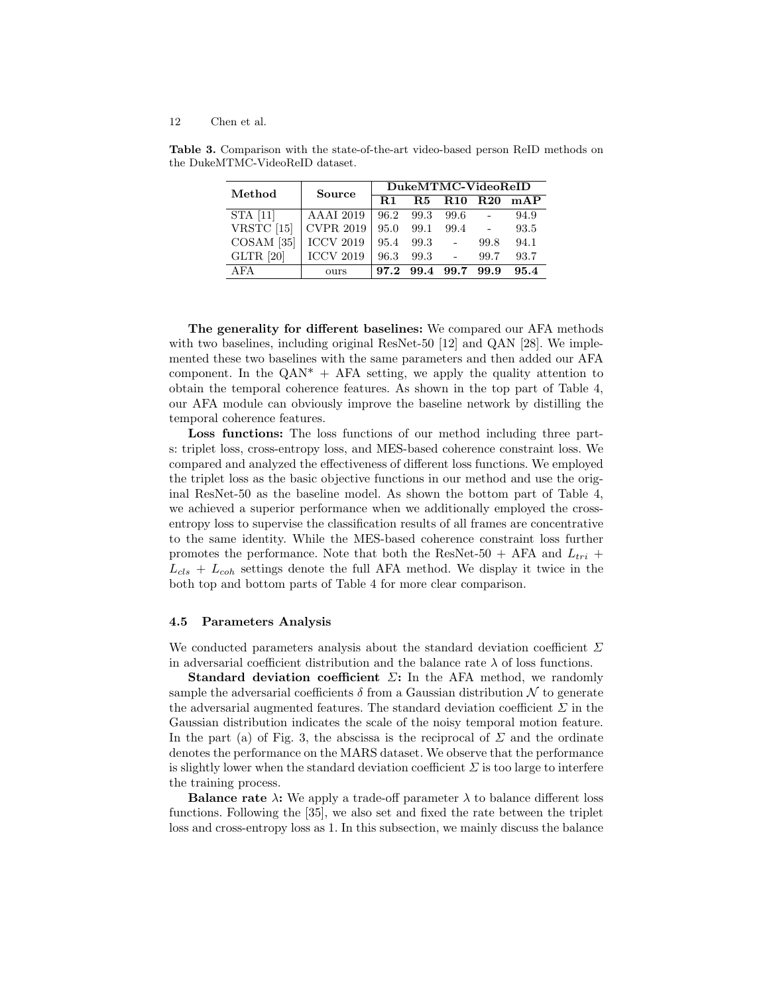| Method                | <b>Source</b>    | DukeMTMC-VideoReID |           |                 |                 |      |  |  |
|-----------------------|------------------|--------------------|-----------|-----------------|-----------------|------|--|--|
|                       |                  | $\mathbf{R}1$      | <b>R5</b> | R <sub>10</sub> | R <sub>20</sub> | mAP  |  |  |
| STA [11]              | <b>AAAI</b> 2019 | 96.2               | 99.3      | 99.6            |                 | 94.9 |  |  |
| VRSTC [15]            | <b>CVPR 2019</b> | 95.0               | 99.1      | 99.4            | $\sim 10^{-11}$ | 93.5 |  |  |
| COSAM <sup>[35]</sup> | <b>ICCV 2019</b> | 95.4               | 99.3      | $\sim$          | 99.8            | 94.1 |  |  |
| GLTR [20]             | <b>ICCV 2019</b> | 96.3               | 99.3      | $\sim$          | 99.7            | 93.7 |  |  |
| AFA                   | ours             | 97.2               | 99.4      | 99.7            | 99.9            | 95.4 |  |  |

Table 3. Comparison with the state-of-the-art video-based person ReID methods on the DukeMTMC-VideoReID dataset.

The generality for different baselines: We compared our AFA methods with two baselines, including original ResNet-50 [12] and QAN [28]. We implemented these two baselines with the same parameters and then added our AFA component. In the  $QAN^* + AFA$  setting, we apply the quality attention to obtain the temporal coherence features. As shown in the top part of Table 4, our AFA module can obviously improve the baseline network by distilling the temporal coherence features.

Loss functions: The loss functions of our method including three parts: triplet loss, cross-entropy loss, and MES-based coherence constraint loss. We compared and analyzed the effectiveness of different loss functions. We employed the triplet loss as the basic objective functions in our method and use the original ResNet-50 as the baseline model. As shown the bottom part of Table 4, we achieved a superior performance when we additionally employed the crossentropy loss to supervise the classification results of all frames are concentrative to the same identity. While the MES-based coherence constraint loss further promotes the performance. Note that both the ResNet-50 + AFA and  $L_{tri}$  +  $L_{cls} + L_{coh}$  settings denote the full AFA method. We display it twice in the both top and bottom parts of Table 4 for more clear comparison.

#### 4.5 Parameters Analysis

We conducted parameters analysis about the standard deviation coefficient  $\Sigma$ in adversarial coefficient distribution and the balance rate  $\lambda$  of loss functions.

Standard deviation coefficient  $\Sigma$ : In the AFA method, we randomly sample the adversarial coefficients  $\delta$  from a Gaussian distribution  $\mathcal N$  to generate the adversarial augmented features. The standard deviation coefficient  $\Sigma$  in the Gaussian distribution indicates the scale of the noisy temporal motion feature. In the part (a) of Fig. 3, the abscissa is the reciprocal of  $\Sigma$  and the ordinate denotes the performance on the MARS dataset. We observe that the performance is slightly lower when the standard deviation coefficient  $\Sigma$  is too large to interfere the training process.

**Balance rate**  $\lambda$ : We apply a trade-off parameter  $\lambda$  to balance different loss functions. Following the [35], we also set and fixed the rate between the triplet loss and cross-entropy loss as 1. In this subsection, we mainly discuss the balance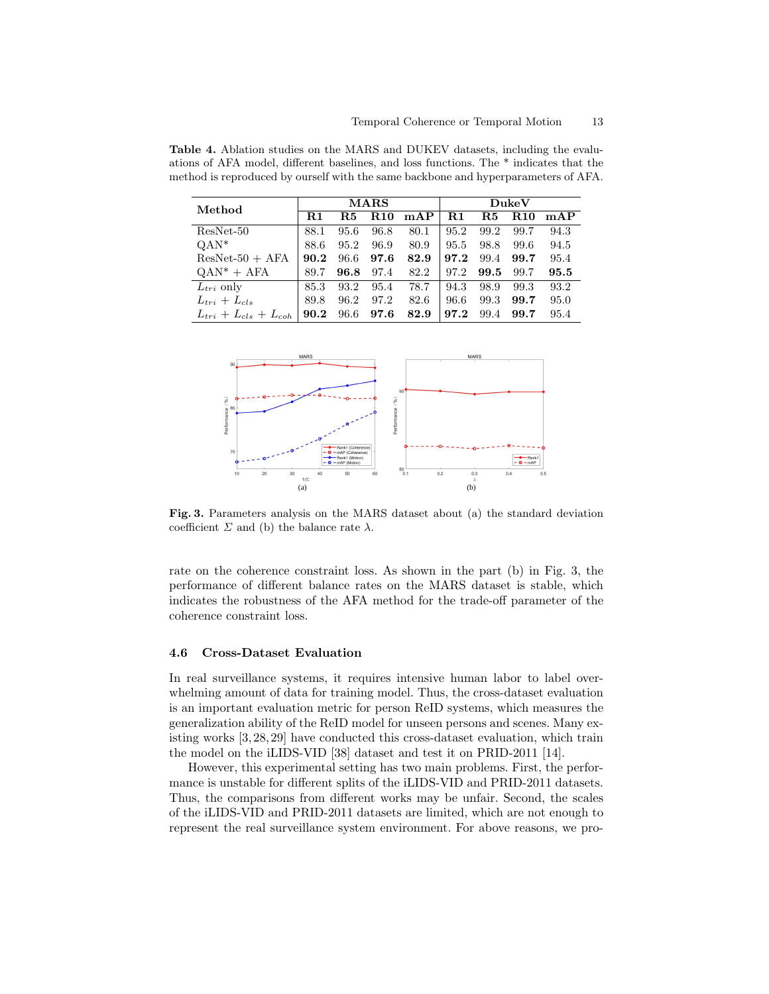| Method                        | <b>MARS</b>   |      |                 |      | DukeV |          |                        |      |
|-------------------------------|---------------|------|-----------------|------|-------|----------|------------------------|------|
|                               | $\mathbf{R}1$ | R.5  | R <sub>10</sub> | mAP  | R1    | $\bf R5$ | <b>R</b> <sub>10</sub> | mAP  |
| $ResNet-50$                   | 88.1          | 95.6 | 96.8            | 80.1 | 95.2  | 99.2     | 99.7                   | 94.3 |
| $QAN^*$                       | 88.6          | 95.2 | 96.9            | 80.9 | 95.5  | 98.8     | 99.6                   | 94.5 |
| $ResNet-50 + AFA$             | 90.2          | 96.6 | 97.6            | 82.9 | 97.2  | 99.4     | 99.7                   | 95.4 |
| $QAN^* + AFA$                 | 89.7          | 96.8 | 97.4            | 82.2 | 97.2  | 99.5     | 99.7                   | 95.5 |
| $L_{tri}$ only                | 85.3          | 93.2 | 95.4            | 78.7 | 94.3  | 98.9     | 99.3                   | 93.2 |
| $L_{tri} + L_{cls}$           | 89.8          | 96.2 | 97.2            | 82.6 | 96.6  | 99.3     | 99.7                   | 95.0 |
| $L_{tri} + L_{cls} + L_{coh}$ | 90.2          | 96.6 | 97.6            | 82.9 | 97.2  | 99.4     | 99.7                   | 95.4 |

Table 4. Ablation studies on the MARS and DUKEV datasets, including the evaluations of AFA model, different baselines, and loss functions. The \* indicates that the method is reproduced by ourself with the same backbone and hyperparameters of AFA.



Fig. 3. Parameters analysis on the MARS dataset about (a) the standard deviation coefficient  $\Sigma$  and (b) the balance rate  $\lambda$ .

rate on the coherence constraint loss. As shown in the part (b) in Fig. 3, the performance of different balance rates on the MARS dataset is stable, which indicates the robustness of the AFA method for the trade-off parameter of the coherence constraint loss.

#### 4.6 Cross-Dataset Evaluation

In real surveillance systems, it requires intensive human labor to label overwhelming amount of data for training model. Thus, the cross-dataset evaluation is an important evaluation metric for person ReID systems, which measures the generalization ability of the ReID model for unseen persons and scenes. Many existing works [3, 28, 29] have conducted this cross-dataset evaluation, which train the model on the iLIDS-VID [38] dataset and test it on PRID-2011 [14].

However, this experimental setting has two main problems. First, the performance is unstable for different splits of the iLIDS-VID and PRID-2011 datasets. Thus, the comparisons from different works may be unfair. Second, the scales of the iLIDS-VID and PRID-2011 datasets are limited, which are not enough to represent the real surveillance system environment. For above reasons, we pro-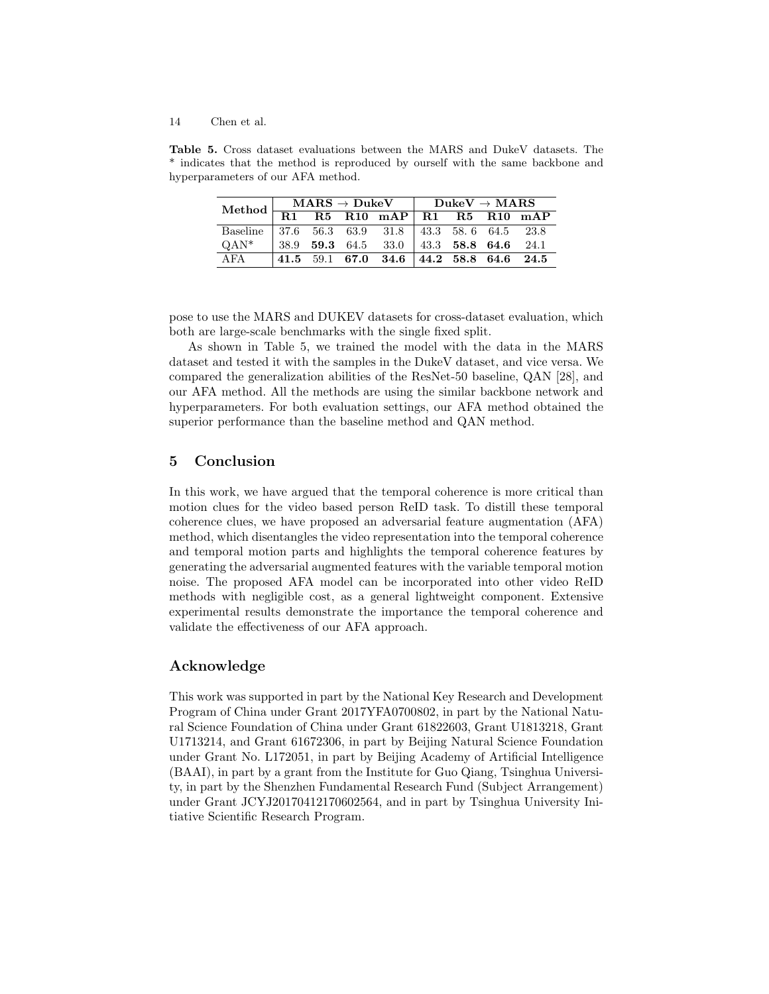Table 5. Cross dataset evaluations between the MARS and DukeV datasets. The \* indicates that the method is reproduced by ourself with the same backbone and hyperparameters of our AFA method.

|                                                                                                  | $\mathrm{MARS} \rightarrow \mathrm{DukeV} \quad   \quad \mathrm{DukeV} \rightarrow \mathrm{MARS}$ |  |  |                                                                                                | Method $R1 R5 R10 MAP R1 R5 R10 MAP$ |  |  |  |
|--------------------------------------------------------------------------------------------------|---------------------------------------------------------------------------------------------------|--|--|------------------------------------------------------------------------------------------------|--------------------------------------|--|--|--|
|                                                                                                  |                                                                                                   |  |  |                                                                                                |                                      |  |  |  |
| Baseline 37.6 56.3 63.9 31.8 43.3 58.6 64.5 23.8<br>QAN* 38.9 59.3 64.5 33.0 43.3 58.8 64.6 24.1 |                                                                                                   |  |  |                                                                                                |                                      |  |  |  |
| $OAN^*$                                                                                          |                                                                                                   |  |  |                                                                                                |                                      |  |  |  |
| AFA                                                                                              |                                                                                                   |  |  | $\begin{array}{ ccccccccc } 41.5 & 59.1 & 67.0 & 34.6 & 44.2 & 58.8 & 64.6 & 24.5 \end{array}$ |                                      |  |  |  |

pose to use the MARS and DUKEV datasets for cross-dataset evaluation, which both are large-scale benchmarks with the single fixed split.

As shown in Table 5, we trained the model with the data in the MARS dataset and tested it with the samples in the DukeV dataset, and vice versa. We compared the generalization abilities of the ResNet-50 baseline, QAN [28], and our AFA method. All the methods are using the similar backbone network and hyperparameters. For both evaluation settings, our AFA method obtained the superior performance than the baseline method and QAN method.

# 5 Conclusion

In this work, we have argued that the temporal coherence is more critical than motion clues for the video based person ReID task. To distill these temporal coherence clues, we have proposed an adversarial feature augmentation (AFA) method, which disentangles the video representation into the temporal coherence and temporal motion parts and highlights the temporal coherence features by generating the adversarial augmented features with the variable temporal motion noise. The proposed AFA model can be incorporated into other video ReID methods with negligible cost, as a general lightweight component. Extensive experimental results demonstrate the importance the temporal coherence and validate the effectiveness of our AFA approach.

# Acknowledge

This work was supported in part by the National Key Research and Development Program of China under Grant 2017YFA0700802, in part by the National Natural Science Foundation of China under Grant 61822603, Grant U1813218, Grant U1713214, and Grant 61672306, in part by Beijing Natural Science Foundation under Grant No. L172051, in part by Beijing Academy of Artificial Intelligence (BAAI), in part by a grant from the Institute for Guo Qiang, Tsinghua University, in part by the Shenzhen Fundamental Research Fund (Subject Arrangement) under Grant JCYJ20170412170602564, and in part by Tsinghua University Initiative Scientific Research Program.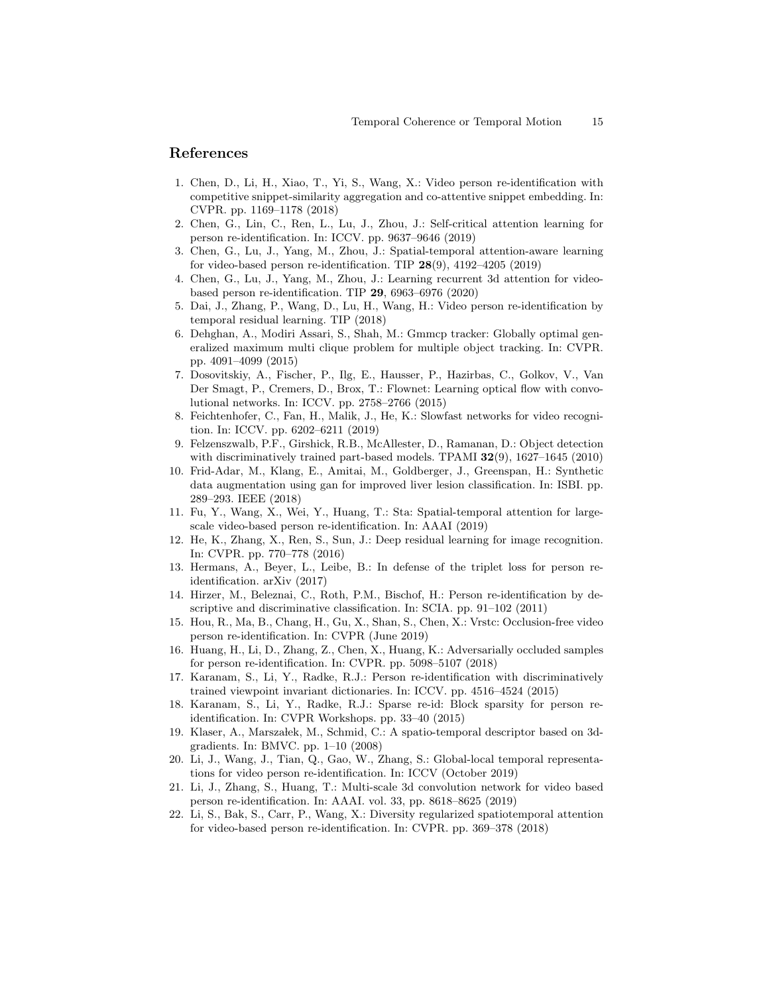# References

- 1. Chen, D., Li, H., Xiao, T., Yi, S., Wang, X.: Video person re-identification with competitive snippet-similarity aggregation and co-attentive snippet embedding. In: CVPR. pp. 1169–1178 (2018)
- 2. Chen, G., Lin, C., Ren, L., Lu, J., Zhou, J.: Self-critical attention learning for person re-identification. In: ICCV. pp. 9637–9646 (2019)
- 3. Chen, G., Lu, J., Yang, M., Zhou, J.: Spatial-temporal attention-aware learning for video-based person re-identification. TIP  $28(9)$ ,  $4192-4205$   $(2019)$
- 4. Chen, G., Lu, J., Yang, M., Zhou, J.: Learning recurrent 3d attention for videobased person re-identification. TIP 29, 6963–6976 (2020)
- 5. Dai, J., Zhang, P., Wang, D., Lu, H., Wang, H.: Video person re-identification by temporal residual learning. TIP (2018)
- 6. Dehghan, A., Modiri Assari, S., Shah, M.: Gmmcp tracker: Globally optimal generalized maximum multi clique problem for multiple object tracking. In: CVPR. pp. 4091–4099 (2015)
- 7. Dosovitskiy, A., Fischer, P., Ilg, E., Hausser, P., Hazirbas, C., Golkov, V., Van Der Smagt, P., Cremers, D., Brox, T.: Flownet: Learning optical flow with convolutional networks. In: ICCV. pp. 2758–2766 (2015)
- 8. Feichtenhofer, C., Fan, H., Malik, J., He, K.: Slowfast networks for video recognition. In: ICCV. pp. 6202–6211 (2019)
- 9. Felzenszwalb, P.F., Girshick, R.B., McAllester, D., Ramanan, D.: Object detection with discriminatively trained part-based models. TPAMI 32(9), 1627–1645 (2010)
- 10. Frid-Adar, M., Klang, E., Amitai, M., Goldberger, J., Greenspan, H.: Synthetic data augmentation using gan for improved liver lesion classification. In: ISBI. pp. 289–293. IEEE (2018)
- 11. Fu, Y., Wang, X., Wei, Y., Huang, T.: Sta: Spatial-temporal attention for largescale video-based person re-identification. In: AAAI (2019)
- 12. He, K., Zhang, X., Ren, S., Sun, J.: Deep residual learning for image recognition. In: CVPR. pp. 770–778 (2016)
- 13. Hermans, A., Beyer, L., Leibe, B.: In defense of the triplet loss for person reidentification. arXiv (2017)
- 14. Hirzer, M., Beleznai, C., Roth, P.M., Bischof, H.: Person re-identification by descriptive and discriminative classification. In: SCIA. pp. 91–102 (2011)
- 15. Hou, R., Ma, B., Chang, H., Gu, X., Shan, S., Chen, X.: Vrstc: Occlusion-free video person re-identification. In: CVPR (June 2019)
- 16. Huang, H., Li, D., Zhang, Z., Chen, X., Huang, K.: Adversarially occluded samples for person re-identification. In: CVPR. pp. 5098–5107 (2018)
- 17. Karanam, S., Li, Y., Radke, R.J.: Person re-identification with discriminatively trained viewpoint invariant dictionaries. In: ICCV. pp. 4516–4524 (2015)
- 18. Karanam, S., Li, Y., Radke, R.J.: Sparse re-id: Block sparsity for person reidentification. In: CVPR Workshops. pp. 33–40 (2015)
- 19. Klaser, A., Marsza lek, M., Schmid, C.: A spatio-temporal descriptor based on 3dgradients. In: BMVC. pp. 1–10 (2008)
- 20. Li, J., Wang, J., Tian, Q., Gao, W., Zhang, S.: Global-local temporal representations for video person re-identification. In: ICCV (October 2019)
- 21. Li, J., Zhang, S., Huang, T.: Multi-scale 3d convolution network for video based person re-identification. In: AAAI. vol. 33, pp. 8618–8625 (2019)
- 22. Li, S., Bak, S., Carr, P., Wang, X.: Diversity regularized spatiotemporal attention for video-based person re-identification. In: CVPR. pp. 369–378 (2018)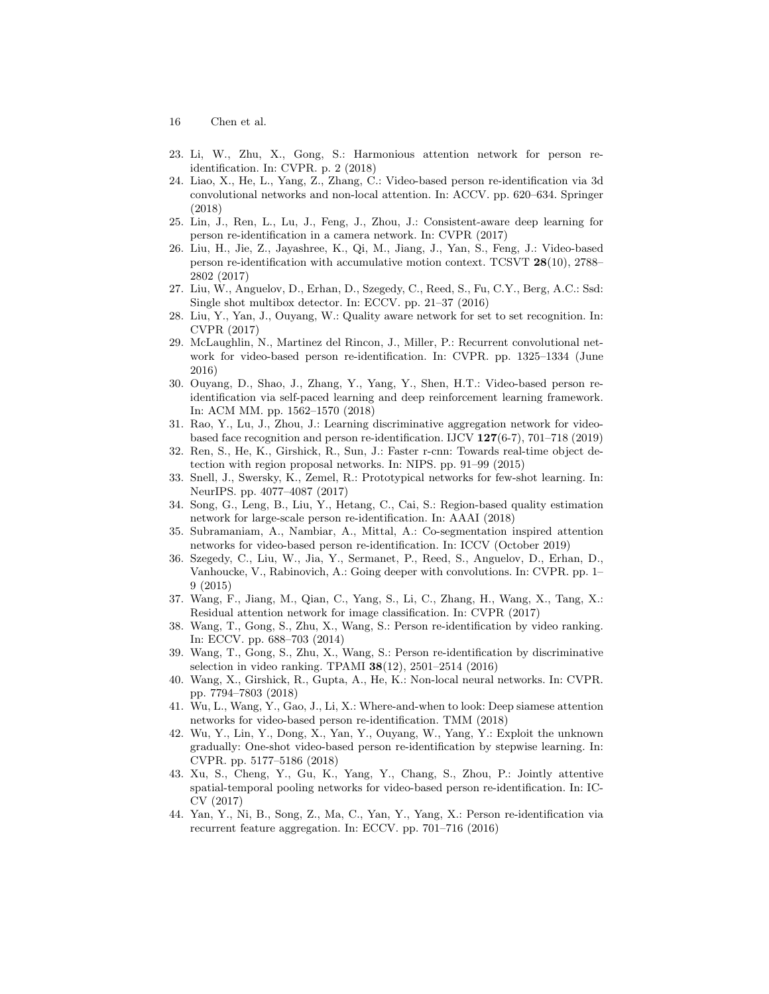- 16 Chen et al.
- 23. Li, W., Zhu, X., Gong, S.: Harmonious attention network for person reidentification. In: CVPR. p. 2 (2018)
- 24. Liao, X., He, L., Yang, Z., Zhang, C.: Video-based person re-identification via 3d convolutional networks and non-local attention. In: ACCV. pp. 620–634. Springer (2018)
- 25. Lin, J., Ren, L., Lu, J., Feng, J., Zhou, J.: Consistent-aware deep learning for person re-identification in a camera network. In: CVPR (2017)
- 26. Liu, H., Jie, Z., Jayashree, K., Qi, M., Jiang, J., Yan, S., Feng, J.: Video-based person re-identification with accumulative motion context. TCSVT 28(10), 2788– 2802 (2017)
- 27. Liu, W., Anguelov, D., Erhan, D., Szegedy, C., Reed, S., Fu, C.Y., Berg, A.C.: Ssd: Single shot multibox detector. In: ECCV. pp. 21–37 (2016)
- 28. Liu, Y., Yan, J., Ouyang, W.: Quality aware network for set to set recognition. In: CVPR (2017)
- 29. McLaughlin, N., Martinez del Rincon, J., Miller, P.: Recurrent convolutional network for video-based person re-identification. In: CVPR. pp. 1325–1334 (June 2016)
- 30. Ouyang, D., Shao, J., Zhang, Y., Yang, Y., Shen, H.T.: Video-based person reidentification via self-paced learning and deep reinforcement learning framework. In: ACM MM. pp. 1562–1570 (2018)
- 31. Rao, Y., Lu, J., Zhou, J.: Learning discriminative aggregation network for videobased face recognition and person re-identification. IJCV 127(6-7), 701–718 (2019)
- 32. Ren, S., He, K., Girshick, R., Sun, J.: Faster r-cnn: Towards real-time object detection with region proposal networks. In: NIPS. pp. 91–99 (2015)
- 33. Snell, J., Swersky, K., Zemel, R.: Prototypical networks for few-shot learning. In: NeurIPS. pp. 4077–4087 (2017)
- 34. Song, G., Leng, B., Liu, Y., Hetang, C., Cai, S.: Region-based quality estimation network for large-scale person re-identification. In: AAAI (2018)
- 35. Subramaniam, A., Nambiar, A., Mittal, A.: Co-segmentation inspired attention networks for video-based person re-identification. In: ICCV (October 2019)
- 36. Szegedy, C., Liu, W., Jia, Y., Sermanet, P., Reed, S., Anguelov, D., Erhan, D., Vanhoucke, V., Rabinovich, A.: Going deeper with convolutions. In: CVPR. pp. 1– 9 (2015)
- 37. Wang, F., Jiang, M., Qian, C., Yang, S., Li, C., Zhang, H., Wang, X., Tang, X.: Residual attention network for image classification. In: CVPR (2017)
- 38. Wang, T., Gong, S., Zhu, X., Wang, S.: Person re-identification by video ranking. In: ECCV. pp. 688–703 (2014)
- 39. Wang, T., Gong, S., Zhu, X., Wang, S.: Person re-identification by discriminative selection in video ranking. TPAMI 38(12), 2501–2514 (2016)
- 40. Wang, X., Girshick, R., Gupta, A., He, K.: Non-local neural networks. In: CVPR. pp. 7794–7803 (2018)
- 41. Wu, L., Wang, Y., Gao, J., Li, X.: Where-and-when to look: Deep siamese attention networks for video-based person re-identification. TMM (2018)
- 42. Wu, Y., Lin, Y., Dong, X., Yan, Y., Ouyang, W., Yang, Y.: Exploit the unknown gradually: One-shot video-based person re-identification by stepwise learning. In: CVPR. pp. 5177–5186 (2018)
- 43. Xu, S., Cheng, Y., Gu, K., Yang, Y., Chang, S., Zhou, P.: Jointly attentive spatial-temporal pooling networks for video-based person re-identification. In: IC-CV (2017)
- 44. Yan, Y., Ni, B., Song, Z., Ma, C., Yan, Y., Yang, X.: Person re-identification via recurrent feature aggregation. In: ECCV. pp. 701–716 (2016)